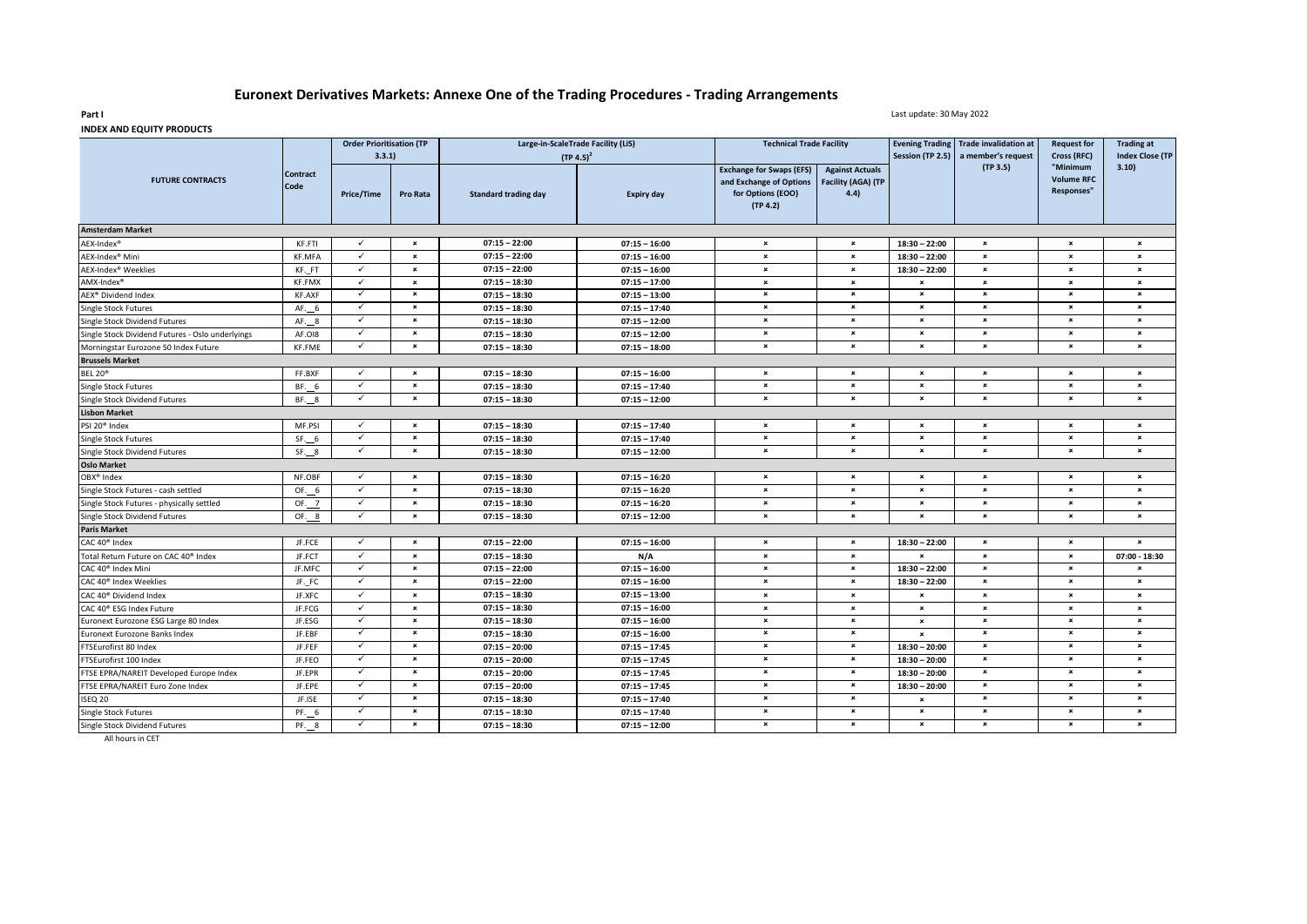## **Euronext Derivatives Markets: Annexe One of the Trading Procedures - Trading Arrangements**

Last update: 30 May 2022

|                                                  | <b>Contract</b><br>Code | <b>Order Prioritisation (TP</b><br>3.3.1) |                           | Large-in-ScaleTrade Facility (LiS)<br>$(TP 4.5)^2$ |                   | <b>Technical Trade Facility</b>                                                             |                                                      | Session (TP 2.5)          | Evening Trading Trade invalidation at<br>a member's request | <b>Request for</b><br>Cross (RFC)                  | <b>Trading at</b><br><b>Index Close (TP</b> |
|--------------------------------------------------|-------------------------|-------------------------------------------|---------------------------|----------------------------------------------------|-------------------|---------------------------------------------------------------------------------------------|------------------------------------------------------|---------------------------|-------------------------------------------------------------|----------------------------------------------------|---------------------------------------------|
| <b>FUTURE CONTRACTS</b>                          |                         | Price/Time                                | Pro Rata                  | <b>Standard trading day</b>                        | <b>Expiry day</b> | <b>Exchange for Swaps (EFS)</b><br>and Exchange of Options<br>for Options (EOO)<br>(TP 4.2) | <b>Against Actuals</b><br>Facility (AGA) (TP<br>4.4) |                           | (TP 3.5)                                                    | "Minimum<br><b>Volume RFC</b><br><b>Responses"</b> | 3.10)                                       |
| <b>Amsterdam Market</b>                          |                         |                                           |                           |                                                    |                   |                                                                                             |                                                      |                           |                                                             |                                                    |                                             |
| AEX-Index <sup>®</sup>                           | KF.FTI                  | $\checkmark$                              | $\pmb{\times}$            | $07:15 - 22:00$                                    | $07:15 - 16:00$   | $\pmb{\times}$                                                                              | $\pmb{\times}$                                       | $18:30 - 22:00$           | $\pmb{\times}$                                              | $\pmb{\times}$                                     | $\boldsymbol{\mathsf{x}}$                   |
| AEX-Index <sup>®</sup> Mini                      | <b>KF.MFA</b>           | $\checkmark$                              | $\pmb{\times}$            | $07:15 - 22:00$                                    | $07:15 - 16:00$   | $\pmb{\times}$                                                                              | $\pmb{\times}$                                       | $18:30 - 22:00$           | $\pmb{\times}$                                              | $\pmb{\times}$                                     | $\pmb{\times}$                              |
| AEX-Index <sup>®</sup> Weeklies                  | KF. FT                  | $\checkmark$                              | $\pmb{\times}$            | $07:15 - 22:00$                                    | $07:15 - 16:00$   | $\pmb{\times}$                                                                              | $\pmb{\times}$                                       | $18:30 - 22:00$           | $\boldsymbol{\mathsf{x}}$                                   | $\pmb{\times}$                                     | $\pmb{\times}$                              |
| AMX-Index <sup>®</sup>                           | KF.FMX                  | $\checkmark$                              | $\pmb{\times}$            | $07:15 - 18:30$                                    | $07:15 - 17:00$   | $\pmb{\times}$                                                                              | $\pmb{\times}$                                       | $\pmb{\times}$            | $\pmb{\times}$                                              | $\pmb{\times}$                                     | $\pmb{\times}$                              |
| AEX® Dividend Index                              | <b>KF.AXF</b>           | $\checkmark$                              | $\pmb{\times}$            | $07:15 - 18:30$                                    | $07:15 - 13:00$   | $\pmb{\times}$                                                                              | $\pmb{\times}$                                       | $\boldsymbol{\mathsf{x}}$ | $\pmb{\times}$                                              | $\pmb{\times}$                                     | $\boldsymbol{\mathsf{x}}$                   |
| Single Stock Futures                             | AF. 6                   | $\checkmark$                              | $\pmb{\times}$            | $07:15 - 18:30$                                    | $07:15 - 17:40$   | $\pmb{\times}$                                                                              | $\pmb{\times}$                                       | $\pmb{\times}$            | $\pmb{\times}$                                              | $\pmb{\times}$                                     | $\pmb{\times}$                              |
| Single Stock Dividend Futures                    | AF. 8                   | $\checkmark$                              | $\pmb{\times}$            | $07:15 - 18:30$                                    | $07:15 - 12:00$   | $\pmb{\times}$                                                                              | $\pmb{\times}$                                       | $\pmb{\times}$            | $\pmb{\times}$                                              | $\pmb{\times}$                                     | $\pmb{\times}$                              |
| Single Stock Dividend Futures - Oslo underlyings | AF.OI8                  | $\checkmark$                              | $\pmb{\times}$            | $07:15 - 18:30$                                    | $07:15 - 12:00$   | $\pmb{\times}$                                                                              | $\pmb{\times}$                                       | $\boldsymbol{\mathsf{x}}$ | $\pmb{\times}$                                              | $\boldsymbol{\mathsf{x}}$                          | $\pmb{\times}$                              |
| Morningstar Eurozone 50 Index Future             | <b>KF.FME</b>           | $\checkmark$                              | $\pmb{\times}$            | $07:15 - 18:30$                                    | $07:15 - 18:00$   | $\pmb{\times}$                                                                              | $\pmb{\times}$                                       | $\pmb{\times}$            | $\pmb{\times}$                                              | $\pmb{\times}$                                     | $\pmb{\times}$                              |
| <b>Brussels Market</b>                           |                         |                                           |                           |                                                    |                   |                                                                                             |                                                      |                           |                                                             |                                                    |                                             |
| <b>BEL 20*</b>                                   | FF.BXF                  | $\checkmark$                              | $\pmb{\times}$            | $07:15 - 18:30$                                    | $07:15 - 16:00$   | $\pmb{\times}$                                                                              | $\pmb{\times}$                                       | $\pmb{\times}$            | $\pmb{\times}$                                              | $\pmb{\times}$                                     | $\pmb{\times}$                              |
| Single Stock Futures                             | BF. 6                   | $\checkmark$                              | $\pmb{\times}$            | $07:15 - 18:30$                                    | $07:15 - 17:40$   | $\pmb{\times}$                                                                              | $\pmb{\times}$                                       | $\pmb{\times}$            | $\pmb{\times}$                                              | $\pmb{\times}$                                     | $\pmb{\times}$                              |
| Single Stock Dividend Futures                    | BF. 8                   | $\checkmark$                              | $\pmb{\times}$            | $07:15 - 18:30$                                    | $07:15 - 12:00$   | $\pmb{\times}$                                                                              | $\pmb{\times}$                                       | $\boldsymbol{\mathsf{x}}$ | $\boldsymbol{\mathsf{x}}$                                   | $\pmb{\times}$                                     | $\pmb{\times}$                              |
| <b>Lisbon Market</b>                             |                         |                                           |                           |                                                    |                   |                                                                                             |                                                      |                           |                                                             |                                                    |                                             |
| PSI 20 <sup>®</sup> Index                        | MF.PSI                  | $\checkmark$                              | $\pmb{\times}$            | $07:15 - 18:30$                                    | $07:15 - 17:40$   | $\pmb{\times}$                                                                              | $\pmb{\times}$                                       | $\pmb{\times}$            | $\pmb{\times}$                                              | $\pmb{\times}$                                     | $\pmb{\times}$                              |
| Single Stock Futures                             | $SF_{--}6$              | $\checkmark$                              | $\pmb{\times}$            | $07:15 - 18:30$                                    | $07:15 - 17:40$   | $\pmb{\times}$                                                                              | $\pmb{\times}$                                       | $\pmb{\times}$            | $\pmb{\times}$                                              | $\pmb{\times}$                                     | $\pmb{\times}$                              |
| Single Stock Dividend Futures                    | SF. 8                   | $\checkmark$                              | $\pmb{\times}$            | $07:15 - 18:30$                                    | $07:15 - 12:00$   | $\pmb{\times}$                                                                              | $\pmb{\times}$                                       | $\pmb{\times}$            | $\pmb{\times}$                                              | $\pmb{\times}$                                     | $\pmb{\times}$                              |
| <b>Oslo Market</b>                               |                         |                                           |                           |                                                    |                   |                                                                                             |                                                      |                           |                                                             |                                                    |                                             |
| OBX <sup>®</sup> Index                           | NF.OBF                  | $\checkmark$                              | $\pmb{\times}$            | $07:15 - 18:30$                                    | $07:15 - 16:20$   | $\pmb{\times}$                                                                              | $\pmb{\times}$                                       | $\pmb{\times}$            | $\pmb{\times}$                                              | $\pmb{\times}$                                     | $\pmb{\times}$                              |
| Single Stock Futures - cash settled              | OF. 6                   | $\checkmark$                              | $\pmb{\times}$            | $07:15 - 18:30$                                    | $07:15 - 16:20$   | $\pmb{\times}$                                                                              | $\pmb{\times}$                                       | $\pmb{\times}$            | $\pmb{\times}$                                              | $\pmb{\times}$                                     | $\pmb{\times}$                              |
| Single Stock Futures - physically settled        | OF. 7                   | $\checkmark$                              | $\pmb{\times}$            | $07:15 - 18:30$                                    | $07:15 - 16:20$   | $\pmb{\times}$                                                                              | $\pmb{\times}$                                       | $\pmb{\times}$            | $\pmb{\times}$                                              | $\pmb{\times}$                                     | $\pmb{\times}$                              |
| Single Stock Dividend Futures                    | OF. 8                   | $\checkmark$                              | $\pmb{\times}$            | $07:15 - 18:30$                                    | $07:15 - 12:00$   | $\pmb{\times}$                                                                              | $\pmb{\times}$                                       | $\pmb{\times}$            | $\pmb{\times}$                                              | $\pmb{\times}$                                     | $\pmb{\times}$                              |
| <b>Paris Market</b>                              |                         |                                           |                           |                                                    |                   |                                                                                             |                                                      |                           |                                                             |                                                    |                                             |
| CAC 40 <sup>®</sup> Index                        | JF.FCE                  | $\checkmark$                              | $\pmb{\times}$            | $07:15 - 22:00$                                    | $07:15 - 16:00$   | $\pmb{\times}$                                                                              | $\pmb{\times}$                                       | $18:30 - 22:00$           | $\pmb{\times}$                                              | $\pmb{\times}$                                     | $\mathbf{x}$                                |
| Total Return Future on CAC 40 <sup>®</sup> Index | JF.FCT                  | $\checkmark$                              | $\boldsymbol{\mathsf{x}}$ | $07:15 - 18:30$                                    | N/A               | $\boldsymbol{\mathsf{x}}$                                                                   | $\pmb{\times}$                                       | $\mathbf{x}$              | $\mathbf{x}$                                                | $\boldsymbol{\mathsf{x}}$                          | 07:00 - 18:30                               |
| CAC 40 <sup>®</sup> Index Mini                   | JF.MFC                  | $\checkmark$                              | $\pmb{\times}$            | $07:15 - 22:00$                                    | $07:15 - 16:00$   | $\pmb{\times}$                                                                              | $\pmb{\times}$                                       | $18:30 - 22:00$           | $\pmb{\times}$                                              | $\pmb{\times}$                                     | $\boldsymbol{\mathsf{x}}$                   |
| CAC 40 <sup>®</sup> Index Weeklies               | JF. FC                  | $\checkmark$                              | $\pmb{\times}$            | $07:15 - 22:00$                                    | $07:15 - 16:00$   | $\pmb{\times}$                                                                              | $\pmb{\times}$                                       | $18:30 - 22:00$           | $\pmb{\times}$                                              | $\pmb{\times}$                                     | $\pmb{\times}$                              |
| CAC 40 <sup>®</sup> Dividend Index               | JF.XFC                  | $\checkmark$                              | $\pmb{\times}$            | $07:15 - 18:30$                                    | $07:15 - 13:00$   | $\pmb{\times}$                                                                              | $\pmb{\times}$                                       | $\pmb{\times}$            | $\pmb{\times}$                                              | $\pmb{\times}$                                     | $\pmb{\times}$                              |
| CAC 40 <sup>®</sup> ESG Index Future             | JF.FCG                  | $\checkmark$                              | $\pmb{\times}$            | $07:15 - 18:30$                                    | $07:15 - 16:00$   | $\pmb{\times}$                                                                              | $\pmb{\times}$                                       | $\boldsymbol{\mathsf{x}}$ | $\boldsymbol{\mathsf{x}}$                                   | $\boldsymbol{\mathsf{x}}$                          | $\boldsymbol{\mathsf{x}}$                   |
| Euronext Eurozone ESG Large 80 Index             | JF.ESG                  | $\checkmark$                              | $\pmb{\times}$            | $07:15 - 18:30$                                    | $07:15 - 16:00$   | $\pmb{\times}$                                                                              | $\pmb{\times}$                                       | $\boldsymbol{\mathsf{x}}$ | $\pmb{\times}$                                              | $\pmb{\times}$                                     | $\pmb{\times}$                              |
| Euronext Eurozone Banks Index                    | JF.EBF                  | $\checkmark$                              | $\pmb{\times}$            | $07:15 - 18:30$                                    | $07:15 - 16:00$   | $\pmb{\times}$                                                                              | $\pmb{\times}$                                       | $\mathbf{x}$              | $\pmb{\times}$                                              | $\pmb{\times}$                                     | $\pmb{\times}$                              |
| FTSEurofirst 80 Index                            | JF.FEF                  | $\checkmark$                              | $\pmb{\times}$            | $07:15 - 20:00$                                    | $07:15 - 17:45$   | $\pmb{\times}$                                                                              | $\pmb{\times}$                                       | $18:30 - 20:00$           | $\pmb{\times}$                                              | $\boldsymbol{\mathsf{x}}$                          | $\boldsymbol{\mathsf{x}}$                   |
| FTSEurofirst 100 Index                           | JF.FEO                  | $\checkmark$                              | $\pmb{\times}$            | $07:15 - 20:00$                                    | $07:15 - 17:45$   | $\pmb{\times}$                                                                              | $\pmb{\times}$                                       | $18:30 - 20:00$           | $\pmb{\times}$                                              | $\pmb{\times}$                                     | $\pmb{\times}$                              |
| FTSE EPRA/NAREIT Developed Europe Index          | JF.EPR                  | $\checkmark$                              | $\pmb{\times}$            | $07:15 - 20:00$                                    | $07:15 - 17:45$   | $\pmb{\times}$                                                                              | $\pmb{\times}$                                       | $18:30 - 20:00$           | $\pmb{\times}$                                              | $\pmb{\times}$                                     | $\pmb{\times}$                              |
| FTSE EPRA/NAREIT Euro Zone Index                 | JF.EPE                  | $\checkmark$                              | $\pmb{\times}$            | $07:15 - 20:00$                                    | $07:15 - 17:45$   | $\pmb{\times}$                                                                              | $\pmb{\times}$                                       | $18:30 - 20:00$           | $\pmb{\times}$                                              | $\pmb{\times}$                                     | $\pmb{\times}$                              |
| ISEQ 20                                          | JF.ISE                  | $\checkmark$                              | $\mathbf{x}$              | $07:15 - 18:30$                                    | $07:15 - 17:40$   | $\pmb{\times}$                                                                              | $\pmb{\times}$                                       | $\mathbf{x}$              | $\pmb{\times}$                                              | $\mathbf{x}$                                       | $\pmb{\times}$                              |
| Single Stock Futures                             | PF. 6                   | $\checkmark$                              | $\pmb{\times}$            | $07:15 - 18:30$                                    | $07:15 - 17:40$   | $\pmb{\times}$                                                                              | $\pmb{\times}$                                       | ×                         | $\pmb{\times}$                                              | $\pmb{\times}$                                     | $\pmb{\times}$                              |
| Single Stock Dividend Futures                    | PF. 8                   | $\checkmark$                              | $\pmb{\times}$            | $07:15 - 18:30$                                    | $07:15 - 12:00$   | $\pmb{\times}$                                                                              | $\pmb{\times}$                                       | $\pmb{\times}$            | $\pmb{\times}$                                              | $\boldsymbol{\mathsf{x}}$                          | $\pmb{\times}$                              |

**INDEX AND EQUITY PRODUCTS**

**Part I**

All hours in CET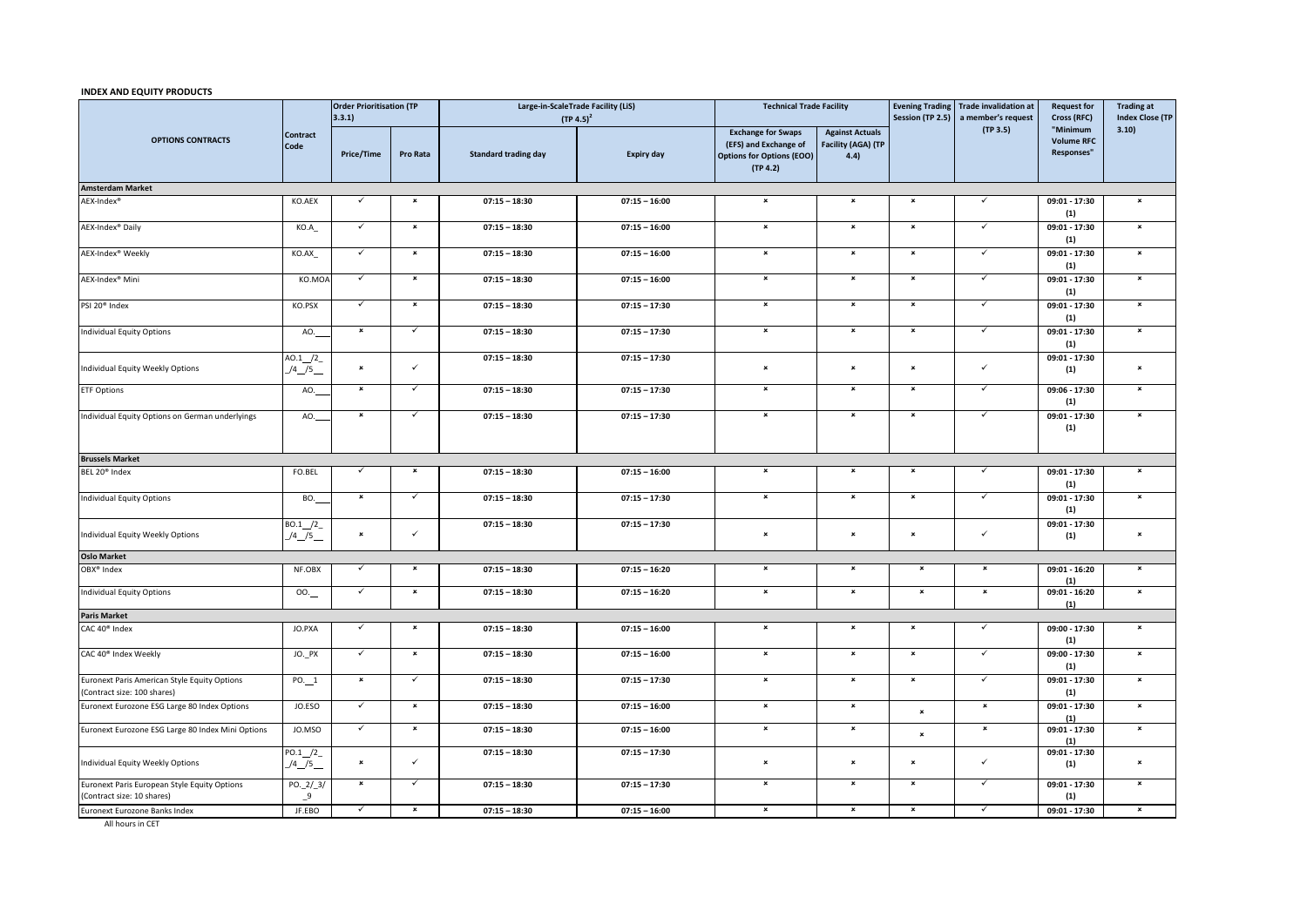## **INDEX AND EQUITY PRODUCTS**

|                                                                             | Contract<br>Code    | <b>Order Prioritisation (TP</b><br>3.3.1) |                | Large-in-ScaleTrade Facility (LiS)<br>$(TP 4.5)^2$ |                   | <b>Technical Trade Facility</b>                                                                    |                                                      |                           | Evening Trading Trade invalidation at<br>Session (TP 2.5) a member's request | <b>Request for</b><br>Cross (RFC)           | <b>Trading at</b><br><b>Index Close (TP</b> |
|-----------------------------------------------------------------------------|---------------------|-------------------------------------------|----------------|----------------------------------------------------|-------------------|----------------------------------------------------------------------------------------------------|------------------------------------------------------|---------------------------|------------------------------------------------------------------------------|---------------------------------------------|---------------------------------------------|
| <b>OPTIONS CONTRACTS</b>                                                    |                     | <b>Price/Time</b>                         | Pro Rata       | <b>Standard trading day</b>                        | <b>Expiry day</b> | <b>Exchange for Swaps</b><br>(EFS) and Exchange of<br><b>Options for Options (EOO)</b><br>(TP 4.2) | <b>Against Actuals</b><br>Facility (AGA) (TP<br>4.4) |                           | (TP 3.5)                                                                     | "Minimum<br><b>Volume RFC</b><br>Responses" | 3.10)                                       |
| <b>Amsterdam Market</b>                                                     |                     |                                           |                |                                                    |                   |                                                                                                    |                                                      |                           |                                                                              |                                             |                                             |
| AEX-Index <sup>®</sup>                                                      | KO.AEX              | $\checkmark$                              | $\pmb{\times}$ | $07:15 - 18:30$                                    | $07:15 - 16:00$   | $\pmb{\times}$                                                                                     | $\pmb{\times}$                                       | $\pmb{\times}$            | $\checkmark$                                                                 | 09:01 - 17:30<br>(1)                        | $\pmb{\times}$                              |
| AEX-Index <sup>®</sup> Daily                                                | KO.A                | $\checkmark$                              | $\pmb{\times}$ | $07:15 - 18:30$                                    | $07:15 - 16:00$   | $\pmb{\times}$                                                                                     | $\pmb{\times}$                                       | $\pmb{\times}$            | $\checkmark$                                                                 | 09:01 - 17:30<br>(1)                        | $\pmb{\times}$                              |
| AEX-Index <sup>®</sup> Weekly                                               | KO.AX_              | ✓                                         | $\pmb{\times}$ | $07:15 - 18:30$                                    | $07:15 - 16:00$   | $\pmb{\times}$                                                                                     | $\pmb{\times}$                                       | $\pmb{\times}$            | ✓                                                                            | 09:01 - 17:30<br>(1)                        | $\pmb{\times}$                              |
| AEX-Index <sup>®</sup> Mini                                                 | KO.MOA              | $\checkmark$                              | $\pmb{\times}$ | $07:15 - 18:30$                                    | $07:15 - 16:00$   | $\pmb{\times}$                                                                                     | $\pmb{\times}$                                       | $\pmb{\times}$            | $\checkmark$                                                                 | 09:01 - 17:30<br>(1)                        | $\pmb{\times}$                              |
| PSI 20 <sup>®</sup> Index                                                   | KO.PSX              | $\checkmark$                              | $\pmb{\times}$ | $07:15 - 18:30$                                    | $07:15 - 17:30$   | $\pmb{\times}$                                                                                     | $\pmb{\times}$                                       | $\pmb{\times}$            | $\checkmark$                                                                 | 09:01 - 17:30<br>(1)                        | $\pmb{\times}$                              |
| Individual Equity Options                                                   | AO.                 | $\pmb{\times}$                            | $\checkmark$   | $07:15 - 18:30$                                    | $07:15 - 17:30$   | $\pmb{\times}$                                                                                     | $\pmb{\times}$                                       | $\pmb{\times}$            | $\checkmark$                                                                 | 09:01 - 17:30<br>(1)                        | $\pmb{\times}$                              |
| Individual Equity Weekly Options                                            | AO.1/2<br>$/4$ /5   | $\pmb{\times}$                            | $\checkmark$   | $07:15 - 18:30$                                    | $07:15 - 17:30$   | $\pmb{\times}$                                                                                     | $\pmb{\times}$                                       | $\boldsymbol{\mathsf{x}}$ | $\checkmark$                                                                 | 09:01 - 17:30<br>(1)                        | $\pmb{\times}$                              |
| <b>ETF Options</b>                                                          | AO.                 | $\pmb{\times}$                            | $\checkmark$   | $07:15 - 18:30$                                    | $07:15 - 17:30$   | $\pmb{\times}$                                                                                     | $\pmb{\times}$                                       | $\pmb{\times}$            | $\checkmark$                                                                 | 09:06 - 17:30<br>(1)                        | $\pmb{\times}$                              |
| Individual Equity Options on German underlyings                             | AO.                 | $\pmb{\times}$                            | $\checkmark$   | $07:15 - 18:30$                                    | $07:15 - 17:30$   | $\pmb{\times}$                                                                                     | $\pmb{\times}$                                       | $\pmb{\times}$            | $\checkmark$                                                                 | 09:01 - 17:30<br>(1)                        | $\pmb{\times}$                              |
| <b>Brussels Market</b>                                                      |                     |                                           |                |                                                    |                   |                                                                                                    |                                                      |                           |                                                                              |                                             |                                             |
| BEL 20 <sup>®</sup> Index                                                   | FO.BEL              | $\checkmark$                              | $\pmb{\times}$ | $07:15 - 18:30$                                    | $07:15 - 16:00$   | $\pmb{\times}$                                                                                     | $\pmb{\times}$                                       | $\pmb{\times}$            | $\checkmark$                                                                 | 09:01 - 17:30<br>(1)                        | $\pmb{\times}$                              |
| <b>Individual Equity Options</b>                                            | BO.                 | $\pmb{\times}$                            | $\checkmark$   | $07:15 - 18:30$                                    | $07:15 - 17:30$   | $\pmb{\times}$                                                                                     | $\pmb{\times}$                                       | $\pmb{\times}$            | $\checkmark$                                                                 | 09:01 - 17:30<br>(1)                        | $\pmb{\times}$                              |
| Individual Equity Weekly Options                                            | B0.1/2<br>$/4$ $/5$ | $\pmb{\times}$                            | $\checkmark$   | $07:15 - 18:30$                                    | $07:15 - 17:30$   | $\pmb{\times}$                                                                                     | $\pmb{\times}$                                       | $\pmb{\times}$            | $\checkmark$                                                                 | 09:01 - 17:30<br>(1)                        | $\pmb{\times}$                              |
| <b>Oslo Market</b>                                                          |                     |                                           |                |                                                    |                   |                                                                                                    |                                                      |                           |                                                                              |                                             |                                             |
| OBX <sup>®</sup> Index                                                      | NF.OBX              | $\checkmark$                              | $\pmb{\times}$ | $07:15 - 18:30$                                    | $07:15 - 16:20$   | $\pmb{\times}$                                                                                     | $\pmb{\times}$                                       | $\pmb{\times}$            | $\pmb{\times}$                                                               | $09:01 - 16:20$<br>(1)                      | $\pmb{\times}$                              |
| <b>Individual Equity Options</b>                                            | 00.                 | $\checkmark$                              | $\pmb{\times}$ | $07:15 - 18:30$                                    | $07:15 - 16:20$   | $\pmb{\times}$                                                                                     | $\pmb{\times}$                                       | $\pmb{\times}$            | $\pmb{\times}$                                                               | 09:01 - 16:20                               | $\pmb{\times}$                              |
| <b>Paris Market</b>                                                         |                     |                                           |                |                                                    |                   |                                                                                                    |                                                      |                           |                                                                              | (1)                                         |                                             |
| CAC 40 <sup>®</sup> Index                                                   | JO.PXA              | $\checkmark$                              | $\pmb{\times}$ | $07:15 - 18:30$                                    | $07:15 - 16:00$   | $\pmb{\times}$                                                                                     | $\pmb{\times}$                                       | $\pmb{\times}$            | $\checkmark$                                                                 | 09:00 - 17:30<br>(1)                        | $\pmb{\times}$                              |
| CAC 40 <sup>®</sup> Index Weekly                                            | JO. PX              | $\checkmark$                              | $\pmb{\times}$ | $07:15 - 18:30$                                    | $07:15 - 16:00$   | $\pmb{\times}$                                                                                     | $\pmb{\times}$                                       | $\pmb{\times}$            | $\checkmark$                                                                 | 09:00 - 17:30<br>(1)                        | $\pmb{\times}$                              |
| Euronext Paris American Style Equity Options<br>(Contract size: 100 shares) | $PO.$ 1             | $\pmb{\times}$                            | $\checkmark$   | $07:15 - 18:30$                                    | $07:15 - 17:30$   | $\pmb{\times}$                                                                                     | $\pmb{\times}$                                       | $\pmb{\times}$            | $\checkmark$                                                                 | 09:01 - 17:30<br>(1)                        | $\pmb{\times}$                              |
| Euronext Eurozone ESG Large 80 Index Options                                | JO.ESO              | $\checkmark$                              | $\pmb{\times}$ | $07:15 - 18:30$                                    | $07:15 - 16:00$   | $\pmb{\times}$                                                                                     | $\pmb{\times}$                                       | $\mathbf{x}$              | $\pmb{\times}$                                                               | 09:01 - 17:30<br>(1)                        | $\pmb{\times}$                              |
| Euronext Eurozone ESG Large 80 Index Mini Options                           | JO.MSO              | $\checkmark$                              | $\pmb{\times}$ | $07:15 - 18:30$                                    | $07:15 - 16:00$   | $\pmb{\times}$                                                                                     | $\pmb{\times}$                                       | $\boldsymbol{\mathsf{x}}$ | $\pmb{\times}$                                                               | 09:01 - 17:30<br>(1)                        | $\pmb{\times}$                              |
| Individual Equity Weekly Options                                            | PO.1 / 2<br>$/4$ /5 | $\pmb{\times}$                            | $\checkmark$   | $07:15 - 18:30$                                    | $07:15 - 17:30$   | $\pmb{\times}$                                                                                     | $\pmb{\times}$                                       | $\pmb{\times}$            | $\checkmark$                                                                 | 09:01 - 17:30<br>(1)                        | $\pmb{\times}$                              |
| Euronext Paris European Style Equity Options<br>(Contract size: 10 shares)  | PO.2/3/<br>$-9$     | $\pmb{\times}$                            | ✓              | $07:15 - 18:30$                                    | $07:15 - 17:30$   | $\pmb{\times}$                                                                                     | $\pmb{\times}$                                       | $\pmb{\times}$            | $\checkmark$                                                                 | 09:01 - 17:30<br>(1)                        | $\pmb{\times}$                              |
| Euronext Eurozone Banks Index                                               | JF.EBO              | $\checkmark$                              | $\pmb{\times}$ | $07:15 - 18:30$                                    | $07:15 - 16:00$   | $\boldsymbol{\mathsf{x}}$                                                                          | $\boldsymbol{\mathsf{x}}$                            | $\boldsymbol{\mathsf{x}}$ |                                                                              | $09:01 - 17:30$                             | $\overline{\mathbf{x}}$                     |

All hours in CET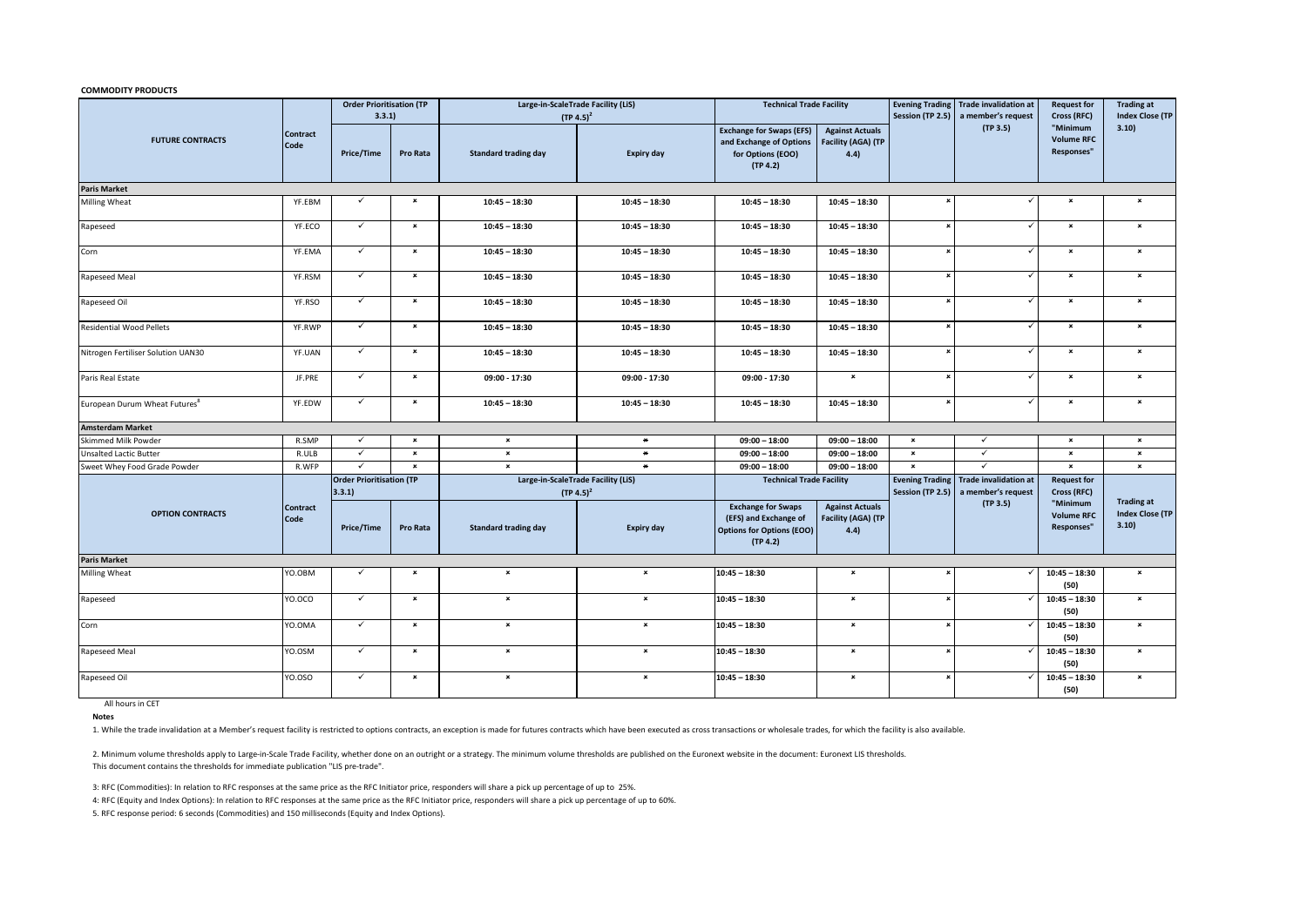**COMMODITY PRODUCTS**

|                                           | <b>Contract</b><br>Code | <b>Order Prioritisation (TP</b><br>3.3.1 |                | Large-in-ScaleTrade Facility (LiS)<br>$(TP 4.5)^2$ |                   | <b>Technical Trade Facility</b>                                                                    |                                                             | <b>Evening Trading</b><br>Session (TP 2.5) | <b>Trade invalidation at</b><br>a member's request | <b>Request for</b><br>Cross (RFC)           | <b>Trading at</b><br><b>Index Close (TP</b> |
|-------------------------------------------|-------------------------|------------------------------------------|----------------|----------------------------------------------------|-------------------|----------------------------------------------------------------------------------------------------|-------------------------------------------------------------|--------------------------------------------|----------------------------------------------------|---------------------------------------------|---------------------------------------------|
| <b>FUTURE CONTRACTS</b>                   |                         | <b>Price/Time</b>                        | Pro Rata       | <b>Standard trading day</b>                        | <b>Expiry day</b> | <b>Exchange for Swaps (EFS)</b><br>and Exchange of Options<br>for Options (EOO)<br>(TP 4.2)        | <b>Against Actuals</b><br><b>Facility (AGA) (TP</b><br>4.4) |                                            | (TP 3.5)                                           | "Minimum<br><b>Volume RFC</b><br>Responses" | 3.10)                                       |
| <b>Paris Market</b>                       |                         |                                          |                |                                                    |                   |                                                                                                    |                                                             |                                            |                                                    |                                             |                                             |
| Milling Wheat                             | YF.EBM                  | $\checkmark$                             | $\pmb{\times}$ | $10:45 - 18:30$                                    | $10:45 - 18:30$   | $10:45 - 18:30$                                                                                    | $10:45 - 18:30$                                             |                                            |                                                    | $\pmb{\times}$                              | $\pmb{\times}$                              |
| Rapeseed                                  | YF.ECO                  | $\checkmark$                             | $\pmb{\times}$ | $10:45 - 18:30$                                    | $10:45 - 18:30$   | $10:45 - 18:30$                                                                                    | $10:45 - 18:30$                                             | $\boldsymbol{\mathsf{x}}$                  | $\checkmark$                                       | $\pmb{\times}$                              | $\pmb{\times}$                              |
| Corn                                      | YF.EMA                  | $\checkmark$                             | $\pmb{\times}$ | $10:45 - 18:30$                                    | $10:45 - 18:30$   | $10:45 - 18:30$                                                                                    | $10:45 - 18:30$                                             |                                            |                                                    | $\pmb{\times}$                              | $\pmb{\times}$                              |
| Rapeseed Meal                             | YF.RSM                  | $\checkmark$                             | $\pmb{\times}$ | $10:45 - 18:30$                                    | $10:45 - 18:30$   | $10:45 - 18:30$                                                                                    | $10:45 - 18:30$                                             | $\boldsymbol{\mathsf{x}}$                  | $\checkmark$                                       | $\pmb{\times}$                              | $\pmb{\times}$                              |
| Rapeseed Oil                              | YF.RSO                  | $\checkmark$                             | $\pmb{\times}$ | $10:45 - 18:30$                                    | $10:45 - 18:30$   | $10:45 - 18:30$                                                                                    | $10:45 - 18:30$                                             | $\boldsymbol{\mathsf{x}}$                  | $\checkmark$                                       | $\pmb{\times}$                              | $\pmb{\times}$                              |
| <b>Residential Wood Pellets</b>           | YF.RWP                  | $\checkmark$                             | $\pmb{\times}$ | $10:45 - 18:30$                                    | $10:45 - 18:30$   | $10:45 - 18:30$                                                                                    | $10:45 - 18:30$                                             | $\boldsymbol{\mathsf{x}}$                  | $\checkmark$                                       | $\pmb{\times}$                              | $\pmb{\times}$                              |
| Nitrogen Fertiliser Solution UAN30        | YF.UAN                  | $\checkmark$                             | $\pmb{\times}$ | $10:45 - 18:30$                                    | $10:45 - 18:30$   | $10:45 - 18:30$                                                                                    | $10:45 - 18:30$                                             | $\pmb{\times}$                             |                                                    | $\pmb{\times}$                              | $\pmb{\times}$                              |
| Paris Real Estate                         | JF.PRE                  | $\checkmark$                             | $\pmb{\times}$ | 09:00 - 17:30                                      | 09:00 - 17:30     | 09:00 - 17:30                                                                                      | $\pmb{\times}$                                              | $\pmb{\times}$                             | $\checkmark$                                       | $\pmb{\times}$                              | $\pmb{\times}$                              |
| European Durum Wheat Futures <sup>8</sup> | YF.EDW                  | $\checkmark$                             | $\pmb{\times}$ | $10:45 - 18:30$                                    | $10:45 - 18:30$   | $10:45 - 18:30$                                                                                    | $10:45 - 18:30$                                             | $\boldsymbol{\mathsf{x}}$                  | $\checkmark$                                       | $\pmb{\times}$                              | $\pmb{\times}$                              |
| <b>Amsterdam Market</b>                   |                         |                                          |                |                                                    |                   |                                                                                                    |                                                             |                                            |                                                    |                                             |                                             |
| Skimmed Milk Powder                       | R.SMP                   | $\checkmark$                             | $\pmb{\times}$ | $\pmb{\times}$                                     | $\ast$            | $09:00 - 18:00$                                                                                    | $09:00 - 18:00$                                             | $\pmb{\times}$                             | $\checkmark$                                       | $\pmb{\times}$                              | $\pmb{\times}$                              |
| <b>Unsalted Lactic Butter</b>             | R.ULB                   | $\checkmark$                             | $\pmb{\times}$ | $\pmb{\times}$                                     | $\star$           | $09:00 - 18:00$                                                                                    | $09:00 - 18:00$                                             | $\pmb{\times}$                             | ✓                                                  | $\pmb{\times}$                              | $\pmb{\times}$                              |
| Sweet Whey Food Grade Powder              | R.WFP                   | $\checkmark$                             | $\pmb{\times}$ | $\pmb{\times}$                                     | $\star$           | $09:00 - 18:00$                                                                                    | $09:00 - 18:00$                                             | $\pmb{\times}$                             | $\checkmark$                                       | $\pmb{\times}$                              | $\pmb{\times}$                              |
|                                           |                         | <b>Order Prioritisation (TP</b><br>3.3.1 |                | Large-in-ScaleTrade Facility (LiS)<br>$(TP 4.5)^2$ |                   | <b>Technical Trade Facility</b>                                                                    |                                                             | <b>Evening Trading</b><br>Session (TP 2.5) | <b>Trade invalidation at</b><br>a member's request | <b>Request for</b><br>Cross (RFC)           | <b>Trading at</b>                           |
| <b>OPTION CONTRACTS</b>                   | <b>Contract</b><br>Code | <b>Price/Time</b>                        | Pro Rata       | <b>Standard trading day</b>                        | <b>Expiry day</b> | <b>Exchange for Swaps</b><br>(EFS) and Exchange of<br><b>Options for Options (EOO)</b><br>(TP 4.2) | <b>Against Actuals</b><br>Facility (AGA) (TP<br>4.4)        | (TP 3.5)                                   | "Minimum<br><b>Volume RFC</b><br>Responses"        | <b>Index Close (TP</b><br>3.10              |                                             |
| <b>Paris Market</b>                       |                         |                                          |                |                                                    |                   |                                                                                                    |                                                             |                                            |                                                    |                                             |                                             |
| <b>Milling Wheat</b>                      | YO.OBM                  | $\checkmark$                             | $\pmb{\times}$ | $\pmb{\times}$                                     | $\pmb{\times}$    | $10:45 - 18:30$                                                                                    | $\pmb{\times}$                                              |                                            |                                                    | $10:45 - 18:30$<br>(50)                     | $\pmb{\times}$                              |
| Rapeseed                                  | YO.OCO                  | $\checkmark$                             | $\pmb{\times}$ | $\pmb{\times}$                                     | $\pmb{\times}$    | $10:45 - 18:30$                                                                                    | $\pmb{\times}$                                              | $\boldsymbol{\mathsf{x}}$                  |                                                    | $10:45 - 18:30$<br>(50)                     | $\pmb{\times}$                              |
| Corn                                      | YO.OMA                  | $\checkmark$                             | $\pmb{\times}$ | $\pmb{\times}$                                     | $\pmb{\times}$    | $10:45 - 18:30$                                                                                    | $\pmb{\times}$                                              | $\pmb{\times}$                             |                                                    | $10:45 - 18:30$<br>(50)                     | $\pmb{\times}$                              |
| Rapeseed Meal                             | YO.OSM                  | $\checkmark$                             | $\pmb{\times}$ | $\pmb{\times}$                                     | $\pmb{\times}$    | $10:45 - 18:30$                                                                                    | $\pmb{\times}$                                              | $\pmb{\times}$                             |                                                    | $10:45 - 18:30$<br>(50)                     | $\pmb{\times}$                              |
| Rapeseed Oil                              | YO.OSO                  | $\checkmark$                             | $\pmb{\times}$ | $\mathbf{x}$                                       | $\pmb{\times}$    | $10:45 - 18:30$                                                                                    | $\pmb{\times}$                                              |                                            |                                                    | $10:45 - 18:30$<br>(50)                     | $\pmb{\times}$                              |

All hours in CET

**Notes**

1. While the trade invalidation at a Member's request facility is restricted to options contracts, an exception is made for futures contracts which have been executed as cross transactions or wholesale trades, for which th

2. Minimum volume thresholds apply to Large-in-Scale Trade Facility, whether done on an outright or a strategy. The minimum volume thresholds are published on the Euronext website in the document: Euronext LIS thresholds. This document contains the thresholds for immediate publication "LIS pre-trade".

3: RFC (Commodities): In relation to RFC responses at the same price as the RFC Initiator price, responders will share a pick up percentage of up to 25%.

4: RFC (Equity and Index Options): In relation to RFC responses at the same price as the RFC Initiator price, responders will share a pick up percentage of up to 60%.

5. RFC response period: 6 seconds (Commodities) and 150 milliseconds (Equity and Index Options).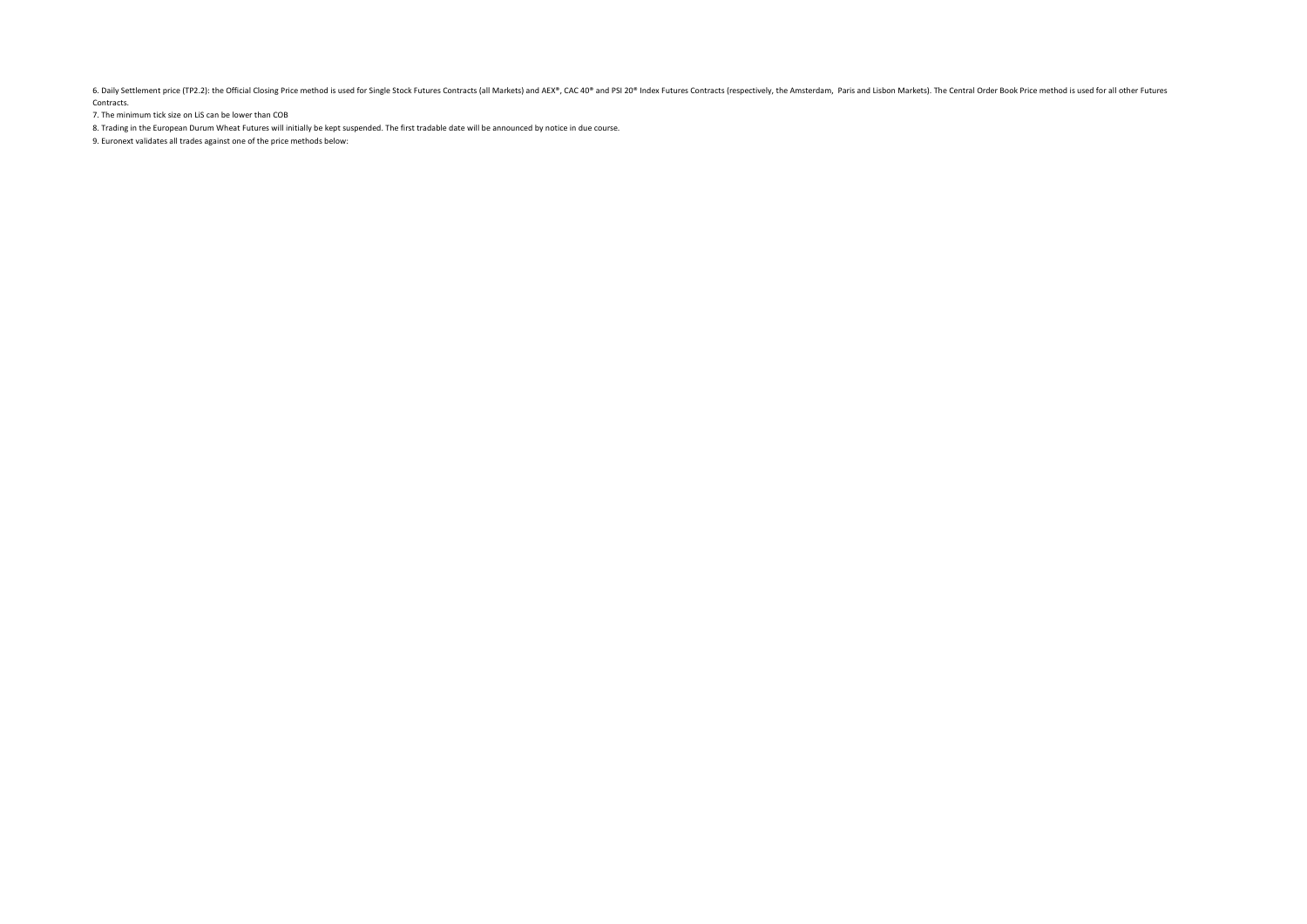6. Daily Settlement price (TP2.2): the Official Closing Price method is used for Single Stock Futures Contracts (all Markets) and AEX®, CAC 40® and PSI 20® Index Futures Contracts (respectively, the Amsterdam, Paris and Li Contracts.

7. The minimum tick size on LiS can be lower than COB

8. Trading in the European Durum Wheat Futures will initially be kept suspended. The first tradable date will be announced by notice in due course.

9. Euronext validates all trades against one of the price methods below: